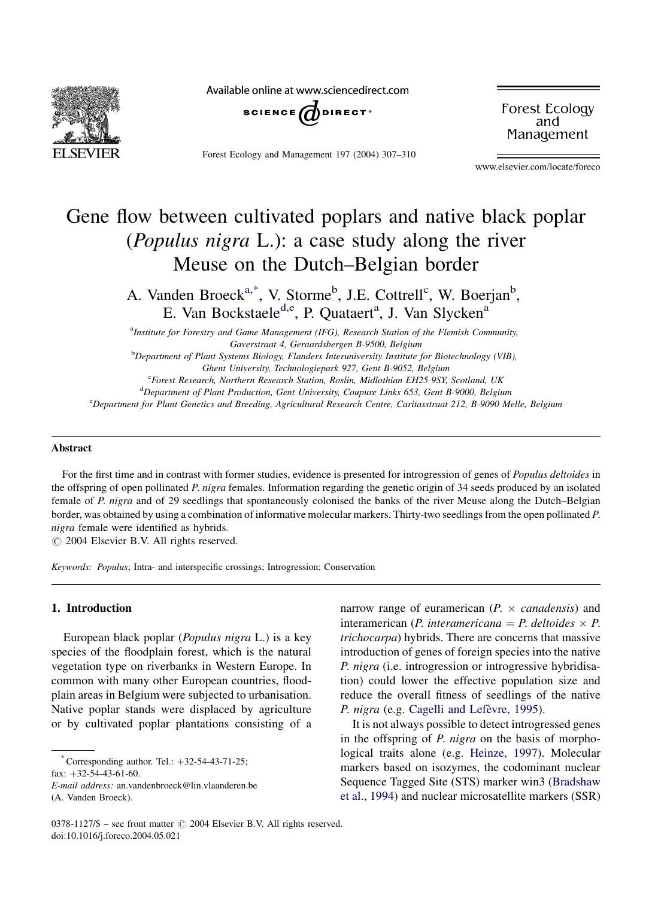

Available online at www.sciencedirect.com



Forest Ecology and Management 197 (2004) 307–310

Forest Ecology and Management

www.elsevier.com/locate/foreco

# Gene flow between cultivated poplars and native black poplar (Populus nigra L.): a case study along the river Meuse on the Dutch–Belgian border

A. Vanden Broeck<sup>a,\*</sup>, V. Storme<sup>b</sup>, J.E. Cottrell<sup>c</sup>, W. Boerjan<sup>b</sup>, E. Van Bockstaele<sup>d, e</sup>, P. Quataert<sup>a</sup>, J. Van Slycken<sup>a</sup>

<sup>a</sup>Institute for Forestry and Game Management (IFG), Research Station of the Flemish Community, Gaverstraat 4, Geraardsbergen B-9500, Belgium <sup>b</sup>Department of Plant Systems Biology, Flanders Interuniversity Institute for Biotechnology (VIB), Ghent University, Technologiepark 927, Gent B-9052, Belgium <sup>c</sup>Forest Research, Northern Research Station, Roslin, Midlothian EH25 9SY, Scotland, UK <sup>d</sup>Department of Plant Production, Gent University, Coupure Links 653, Gent B-9000, Belgium e Department for Plant Genetics and Breeding, Agricultural Research Centre, Caritasstraat 212, B-9090 Melle, Belgium

## Abstract

For the first time and in contrast with former studies, evidence is presented for introgression of genes of Populus deltoides in the offspring of open pollinated P. nigra females. Information regarding the genetic origin of 34 seeds produced by an isolated female of P. nigra and of 29 seedlings that spontaneously colonised the banks of the river Meuse along the Dutch–Belgian border, was obtained by using a combination of informative molecular markers. Thirty-two seedlings from the open pollinated P. nigra female were identified as hybrids.

 $\odot$  2004 Elsevier B.V. All rights reserved.

Keywords: Populus; Intra- and interspecific crossings; Introgression; Conservation

## 1. Introduction

European black poplar (Populus nigra L.) is a key species of the floodplain forest, which is the natural vegetation type on riverbanks in Western Europe. In common with many other European countries, floodplain areas in Belgium were subjected to urbanisation. Native poplar stands were displaced by agriculture or by cultivated poplar plantations consisting of a

fax:  $+32-54-43-61-60$ .

E-mail address: an.vandenbroeck@lin.vlaanderen.be (A. Vanden Broeck).

narrow range of euramerican ( $P \times \text{canadensis}$ ) and interamerican (P. interamericana = P. deltoides  $\times$  P. trichocarpa) hybrids. There are concerns that massive introduction of genes of foreign species into the native P. nigra (i.e. introgression or introgressive hybridisation) could lower the effective population size and reduce the overall fitness of seedlings of the native P. nigra (e.g. Cagelli and Lefèvre, 1995).

It is not always possible to detect introgressed genes in the offspring of P. nigra on the basis of morphological traits alone (e.g. [Heinze, 1997\)](#page-3-0). Molecular markers based on isozymes, the codominant nuclear Sequence Tagged Site (STS) marker win3 ([Bradshaw](#page-3-0) [et al., 1994](#page-3-0)) and nuclear microsatellite markers (SSR)

Corresponding author. Tel.:  $+32-54-43-71-25$ ;

<sup>0378-1127/\$ –</sup> see front matter  $\odot$  2004 Elsevier B.V. All rights reserved. doi:10.1016/j.foreco.2004.05.021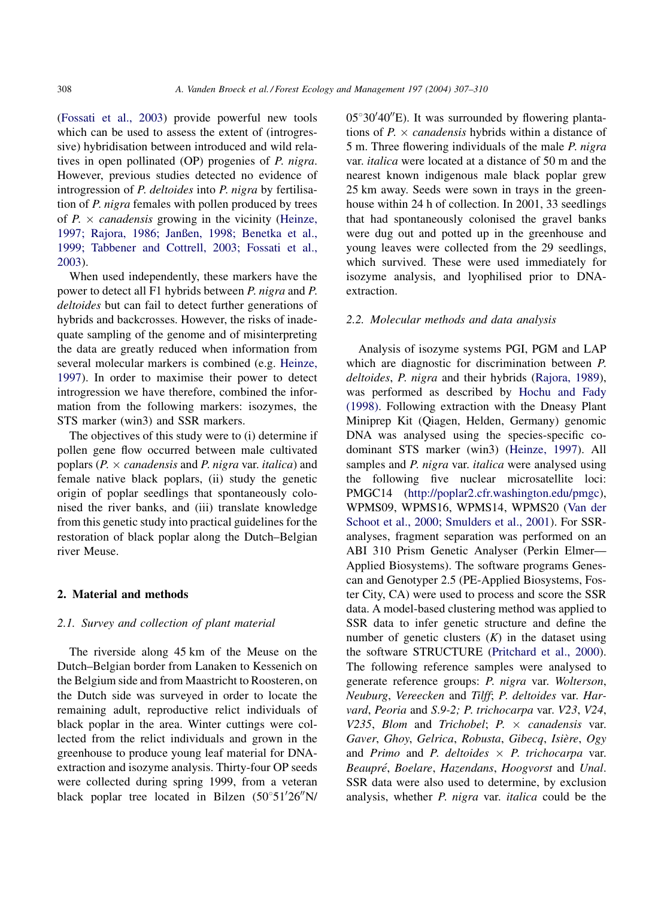([Fossati et al., 2003\)](#page-3-0) provide powerful new tools which can be used to assess the extent of (introgressive) hybridisation between introduced and wild relatives in open pollinated (OP) progenies of P. nigra. However, previous studies detected no evidence of introgression of *P. deltoides* into *P. nigra* by fertilisation of P. nigra females with pollen produced by trees of  $P \times \text{canadensis}$  growing in the vicinity ([Heinze,](#page-3-0) [1997; Rajora, 1986; Janßen, 1998; Benetka et al.,](#page-3-0) [1999; Tabbener and Cottrell, 2003; Fossati et al.,](#page-3-0) [2003](#page-3-0)).

When used independently, these markers have the power to detect all F1 hybrids between P. nigra and P. deltoides but can fail to detect further generations of hybrids and backcrosses. However, the risks of inadequate sampling of the genome and of misinterpreting the data are greatly reduced when information from several molecular markers is combined (e.g. [Heinze,](#page-3-0) [1997](#page-3-0)). In order to maximise their power to detect introgression we have therefore, combined the information from the following markers: isozymes, the STS marker (win3) and SSR markers.

The objectives of this study were to (i) determine if pollen gene flow occurred between male cultivated poplars ( $P \times \text{canadensis}$  and  $P \times \text{rigra}$  var. *italica*) and female native black poplars, (ii) study the genetic origin of poplar seedlings that spontaneously colonised the river banks, and (iii) translate knowledge from this genetic study into practical guidelines for the restoration of black poplar along the Dutch–Belgian river Meuse.

## 2. Material and methods

# 2.1. Survey and collection of plant material

The riverside along 45 km of the Meuse on the Dutch–Belgian border from Lanaken to Kessenich on the Belgium side and from Maastricht to Roosteren, on the Dutch side was surveyed in order to locate the remaining adult, reproductive relict individuals of black poplar in the area. Winter cuttings were collected from the relict individuals and grown in the greenhouse to produce young leaf material for DNAextraction and isozyme analysis. Thirty-four OP seeds were collected during spring 1999, from a veteran black poplar tree located in Bilzen  $(50^{\circ}51'26''N/$ 

 $05^{\circ}30'40''$ E). It was surrounded by flowering plantations of  $P \times \text{canadensis}$  hybrids within a distance of 5 m. Three flowering individuals of the male P. nigra var. italica were located at a distance of 50 m and the nearest known indigenous male black poplar grew 25 km away. Seeds were sown in trays in the greenhouse within 24 h of collection. In 2001, 33 seedlings that had spontaneously colonised the gravel banks were dug out and potted up in the greenhouse and young leaves were collected from the 29 seedlings, which survived. These were used immediately for isozyme analysis, and lyophilised prior to DNAextraction.

## 2.2. Molecular methods and data analysis

Analysis of isozyme systems PGI, PGM and LAP which are diagnostic for discrimination between P. deltoides, P. nigra and their hybrids ([Rajora, 1989\)](#page-3-0), was performed as described by [Hochu and Fady](#page-3-0) [\(1998\)](#page-3-0). Following extraction with the Dneasy Plant Miniprep Kit (Qiagen, Helden, Germany) genomic DNA was analysed using the species-specific codominant STS marker (win3) [\(Heinze, 1997\)](#page-3-0). All samples and *P. nigra* var. *italica* were analysed using the following five nuclear microsatellite loci: PMGC14 ([http://poplar2.cfr.washington.edu/pmgc\)](HTTP://POPLAR2.CFR.WASHINGTON.EDU/PMGC), WPMS09, WPMS16, WPMS14, WPMS20 ([Van der](#page-3-0) [Schoot et al., 2000; Smulders et al., 2001](#page-3-0)). For SSRanalyses, fragment separation was performed on an ABI 310 Prism Genetic Analyser (Perkin Elmer— Applied Biosystems). The software programs Genescan and Genotyper 2.5 (PE-Applied Biosystems, Foster City, CA) were used to process and score the SSR data. A model-based clustering method was applied to SSR data to infer genetic structure and define the number of genetic clusters  $(K)$  in the dataset using the software STRUCTURE [\(Pritchard et al., 2000\)](#page-3-0). The following reference samples were analysed to generate reference groups: P. nigra var. Wolterson, Neuburg, Vereecken and Tilff; P. deltoides var. Harvard, Peoria and S.9-2; P. trichocarpa var. V23, V24, V235, Blom and Trichobel;  $P_1 \times \text{canadensis}$  var. Gaver, Ghoy, Gelrica, Robusta, Gibecq, Isière, Ogy and Primo and P. deltoides  $\times$  P. trichocarpa var. Beaupré, Boelare, Hazendans, Hoogvorst and Unal. SSR data were also used to determine, by exclusion analysis, whether P. nigra var. italica could be the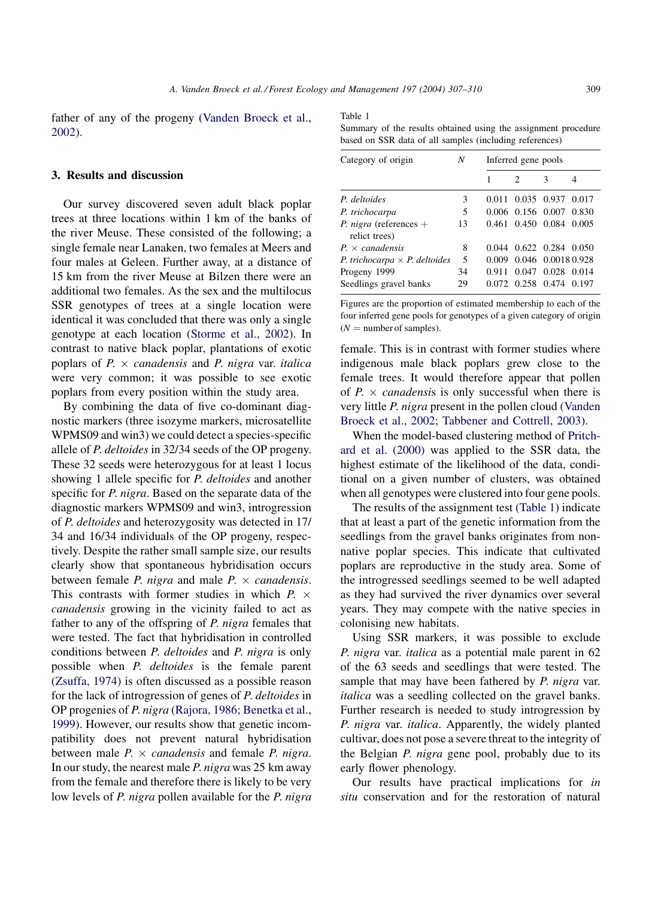father of any of the progeny ([Vanden Broeck et al.,](#page-3-0) [2002](#page-3-0)).

#### 3. Results and discussion

Our survey discovered seven adult black poplar trees at three locations within 1 km of the banks of the river Meuse. These consisted of the following; a single female near Lanaken, two females at Meers and four males at Geleen. Further away, at a distance of 15 km from the river Meuse at Bilzen there were an additional two females. As the sex and the multilocus SSR genotypes of trees at a single location were identical it was concluded that there was only a single genotype at each location ([Storme et al., 2002](#page-3-0)). In contrast to native black poplar, plantations of exotic poplars of  $P \times \text{canadensis}$  and  $P \times \text{rigra}$  var. *italica* were very common; it was possible to see exotic poplars from every position within the study area.

By combining the data of five co-dominant diagnostic markers (three isozyme markers, microsatellite WPMS09 and win3) we could detect a species-specific allele of P. deltoides in 32/34 seeds of the OP progeny. These 32 seeds were heterozygous for at least 1 locus showing 1 allele specific for *P. deltoides* and another specific for *P. nigra*. Based on the separate data of the diagnostic markers WPMS09 and win3, introgression of P. deltoides and heterozygosity was detected in 17/ 34 and 16/34 individuals of the OP progeny, respectively. Despite the rather small sample size, our results clearly show that spontaneous hybridisation occurs between female *P. nigra* and male  $P \times \text{canadensis.}$ This contrasts with former studies in which  $P \times$ canadensis growing in the vicinity failed to act as father to any of the offspring of P. nigra females that were tested. The fact that hybridisation in controlled conditions between P. deltoides and P. nigra is only possible when P. deltoides is the female parent ([Zsuffa, 1974](#page-3-0)) is often discussed as a possible reason for the lack of introgression of genes of P. deltoides in OP progenies of P. nigra [\(Rajora, 1986; Benetka et al.,](#page-3-0) [1999](#page-3-0)). However, our results show that genetic incompatibility does not prevent natural hybridisation between male  $P \times \text{canadensis}$  and female  $P \times \text{rigra}$ . In our study, the nearest male P. nigra was 25 km away from the female and therefore there is likely to be very low levels of *P. nigra* pollen available for the *P. nigra*  Table 1

Summary of the results obtained using the assignment procedure based on SSR data of all samples (including references)

| Category of origin                               | N  | Inferred gene pools |                   |                         |       |
|--------------------------------------------------|----|---------------------|-------------------|-------------------------|-------|
|                                                  |    |                     | $\mathfrak{D}$    | 3                       | 4     |
| P. deltoides                                     | 3  | 0.011               |                   | 0.035 0.937             | 0.017 |
| P. trichocarpa                                   | 5  |                     | 0.006 0.156 0.007 |                         | 0.830 |
| <i>P. nigra</i> (references $+$<br>relict trees) | 13 | 0.461               | 0.450 0.084       |                         | 0.005 |
| $P_{\rm t} \times \text{canadensis}$             | 8  | 0.044               |                   | 0.622 0.284 0.050       |       |
| P. trichocarpa $\times$ P. deltoides             | 5  | 0.009               |                   | 0.046 0.0018 0.928      |       |
| Progeny 1999                                     | 34 | 0.911               | 0.047             | $0.028$ 0.014           |       |
| Seedlings gravel banks                           | 29 |                     |                   | 0.072 0.258 0.474 0.197 |       |

Figures are the proportion of estimated membership to each of the four inferred gene pools for genotypes of a given category of origin  $(N =$  number of samples).

female. This is in contrast with former studies where indigenous male black poplars grew close to the female trees. It would therefore appear that pollen of  $P \times \text{canadensis}$  is only successful when there is very little P. nigra present in the pollen cloud ([Vanden](#page-3-0) [Broeck et al., 2002; Tabbener and Cottrell, 2003\)](#page-3-0).

When the model-based clustering method of [Pritch](#page-3-0)[ard et al. \(2000\)](#page-3-0) was applied to the SSR data, the highest estimate of the likelihood of the data, conditional on a given number of clusters, was obtained when all genotypes were clustered into four gene pools.

The results of the assignment test (Table 1) indicate that at least a part of the genetic information from the seedlings from the gravel banks originates from nonnative poplar species. This indicate that cultivated poplars are reproductive in the study area. Some of the introgressed seedlings seemed to be well adapted as they had survived the river dynamics over several years. They may compete with the native species in colonising new habitats.

Using SSR markers, it was possible to exclude P. nigra var. italica as a potential male parent in 62 of the 63 seeds and seedlings that were tested. The sample that may have been fathered by *P. nigra var.* italica was a seedling collected on the gravel banks. Further research is needed to study introgression by P. nigra var. italica. Apparently, the widely planted cultivar, does not pose a severe threat to the integrity of the Belgian P. nigra gene pool, probably due to its early flower phenology.

Our results have practical implications for in situ conservation and for the restoration of natural